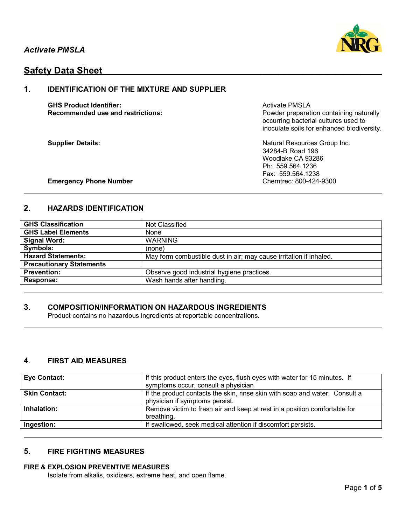

# **Safety Data Sheet**

## **1**. **IDENTIFICATION OF THE MIXTURE AND SUPPLIER**

**GHS Product Identifier:** Activate PMSLA

**Recommended use and restrictions: Powder preparation containing naturally** occurring bacterial cultures used to inoculate soils for enhanced biodiversity.

**Supplier Details:** Natural Resources Group Inc. 34284-B Road 196 Woodlake CA 93286 Ph: 559.564.1236 Fax: 559.564.1238

### **Emergency Phone Number Chemtrec: 800-424-9300**

## **2**. **HAZARDS IDENTIFICATION**

| <b>GHS Classification</b>       | Not Classified                                                     |
|---------------------------------|--------------------------------------------------------------------|
| <b>GHS Label Elements</b>       | None                                                               |
| <b>Signal Word:</b>             | <b>WARNING</b>                                                     |
| Symbols:                        | (none)                                                             |
| <b>Hazard Statements:</b>       | May form combustible dust in air; may cause irritation if inhaled. |
| <b>Precautionary Statements</b> |                                                                    |
| <b>Prevention:</b>              | Observe good industrial hygiene practices.                         |
| <b>Response:</b>                | Wash hands after handling.                                         |

## **3**. **COMPOSITION/INFORMATION ON HAZARDOUS INGREDIENTS**

Product contains no hazardous ingredients at reportable concentrations.

## **4**. **FIRST AID MEASURES**

| <b>Eye Contact:</b>  | If this product enters the eyes, flush eyes with water for 15 minutes. If<br>symptoms occur, consult a physician |
|----------------------|------------------------------------------------------------------------------------------------------------------|
| <b>Skin Contact:</b> | If the product contacts the skin, rinse skin with soap and water. Consult a<br>physician if symptoms persist.    |
| Inhalation:          | Remove victim to fresh air and keep at rest in a position comfortable for<br>breathing.                          |
| Ingestion:           | If swallowed, seek medical attention if discomfort persists.                                                     |

## **5**. **FIRE FIGHTING MEASURES**

#### **FIRE & EXPLOSION PREVENTIVE MEASURES**

Isolate from alkalis, oxidizers, extreme heat, and open flame.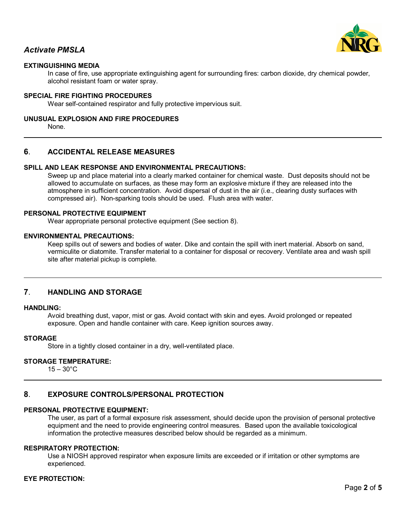

## *Activate PMSLA*

## **EXTINGUISHING MEDIA**

In case of fire, use appropriate extinguishing agent for surrounding fires: carbon dioxide, dry chemical powder, alcohol resistant foam or water spray.

#### **SPECIAL FIRE FIGHTING PROCEDURES**

Wear self-contained respirator and fully protective impervious suit.

#### **UNUSUAL EXPLOSION AND FIRE PROCEDURES**

None.

### **6**. **ACCIDENTAL RELEASE MEASURES**

## **SPILL AND LEAK RESPONSE AND ENVIRONMENTAL PRECAUTIONS:**

Sweep up and place material into a clearly marked container for chemical waste. Dust deposits should not be allowed to accumulate on surfaces, as these may form an explosive mixture if they are released into the atmosphere in sufficient concentration. Avoid dispersal of dust in the air (i.e., clearing dusty surfaces with compressed air). Non-sparking tools should be used. Flush area with water.

#### **PERSONAL PROTECTIVE EQUIPMENT**

Wear appropriate personal protective equipment (See section 8).

#### **ENVIRONMENTAL PRECAUTIONS:**

Keep spills out of sewers and bodies of water. Dike and contain the spill with inert material. Absorb on sand, vermiculite or diatomite. Transfer material to a container for disposal or recovery. Ventilate area and wash spill site after material pickup is complete.

#### **7**. **HANDLING AND STORAGE**

#### **HANDLING:**

Avoid breathing dust, vapor, mist or gas. Avoid contact with skin and eyes. Avoid prolonged or repeated exposure. Open and handle container with care. Keep ignition sources away.

#### **STORAGE**

Store in a tightly closed container in a dry, well-ventilated place.

### **STORAGE TEMPERATURE:**

 $15 - 30^{\circ}$ C

## **8**. **EXPOSURE CONTROLS/PERSONAL PROTECTION**

#### **PERSONAL PROTECTIVE EQUIPMENT:**

The user, as part of a formal exposure risk assessment, should decide upon the provision of personal protective equipment and the need to provide engineering control measures. Based upon the available toxicological information the protective measures described below should be regarded as a minimum.

#### **RESPIRATORY PROTECTION:**

Use a NIOSH approved respirator when exposure limits are exceeded or if irritation or other symptoms are experienced.

### **EYE PROTECTION:**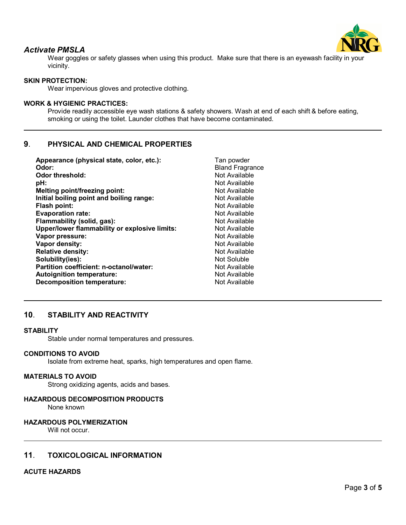

## *Activate PMSLA*

Wear goggles or safety glasses when using this product. Make sure that there is an eyewash facility in your vicinity.

## **SKIN PROTECTION:**

Wear impervious gloves and protective clothing.

## **WORK & HYGIENIC PRACTICES:**

Provide readily accessible eye wash stations & safety showers. Wash at end of each shift & before eating, smoking or using the toilet. Launder clothes that have become contaminated.

## **9**. **PHYSICAL AND CHEMICAL PROPERTIES**

| Appearance (physical state, color, etc.):     | Tan powder             |
|-----------------------------------------------|------------------------|
| Odor:                                         | <b>Bland Fragrance</b> |
| Odor threshold:                               | Not Available          |
| pH:                                           | Not Available          |
| <b>Melting point/freezing point:</b>          | Not Available          |
| Initial boiling point and boiling range:      | Not Available          |
| <b>Flash point:</b>                           | Not Available          |
| <b>Evaporation rate:</b>                      | Not Available          |
| Flammability (solid, gas):                    | Not Available          |
| Upper/lower flammability or explosive limits: | Not Available          |
| Vapor pressure:                               | Not Available          |
| Vapor density:                                | Not Available          |
| <b>Relative density:</b>                      | Not Available          |
| Solubility(ies):                              | Not Soluble            |
| Partition coefficient: n-octanol/water:       | Not Available          |
| <b>Autoignition temperature:</b>              | Not Available          |
| <b>Decomposition temperature:</b>             | Not Available          |

## **10**. **STABILITY AND REACTIVITY**

#### **STABILITY**

Stable under normal temperatures and pressures.

#### **CONDITIONS TO AVOID**

Isolate from extreme heat, sparks, high temperatures and open flame.

#### **MATERIALS TO AVOID**

Strong oxidizing agents, acids and bases.

#### **HAZARDOUS DECOMPOSITION PRODUCTS**

None known

#### **HAZARDOUS POLYMERIZATION**

Will not occur.

## **11**. **TOXICOLOGICAL INFORMATION**

#### **ACUTE HAZARDS**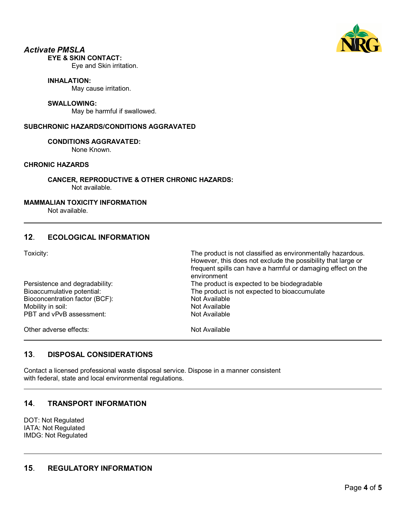

## *Activate PMSLA*

## **EYE & SKIN CONTACT:**

Eye and Skin irritation.

#### **INHALATION:**

May cause irritation.

#### **SWALLOWING:**

May be harmful if swallowed.

### **SUBCHRONIC HAZARDS/CONDITIONS AGGRAVATED**

### **CONDITIONS AGGRAVATED:**

None Known.

## **CHRONIC HAZARDS**

**CANCER, REPRODUCTIVE & OTHER CHRONIC HAZARDS:** Not available.

### **MAMMALIAN TOXICITY INFORMATION**

Not available.

## **12**. **ECOLOGICAL INFORMATION**

Toxicity: The product is not classified as environmentally hazardous.

|                                                                            | However, this does not exclude the possibility that large or<br>frequent spills can have a harmful or damaging effect on the<br>environment |
|----------------------------------------------------------------------------|---------------------------------------------------------------------------------------------------------------------------------------------|
| Persistence and degradability:                                             | The product is expected to be biodegradable                                                                                                 |
| Bioaccumulative potential:<br>The product is not expected to bioaccumulate |                                                                                                                                             |
| Bioconcentration factor (BCF):                                             | Not Available                                                                                                                               |
| Mobility in soil:                                                          | Not Available                                                                                                                               |
| PBT and vPvB assessment:                                                   | Not Available                                                                                                                               |
| Other adverse effects:                                                     | Not Available                                                                                                                               |

## **13**. **DISPOSAL CONSIDERATIONS**

Contact a licensed professional waste disposal service. Dispose in a manner consistent with federal, state and local environmental regulations.

## **14**. **TRANSPORT INFORMATION**

DOT: Not Regulated IATA: Not Regulated IMDG: Not Regulated